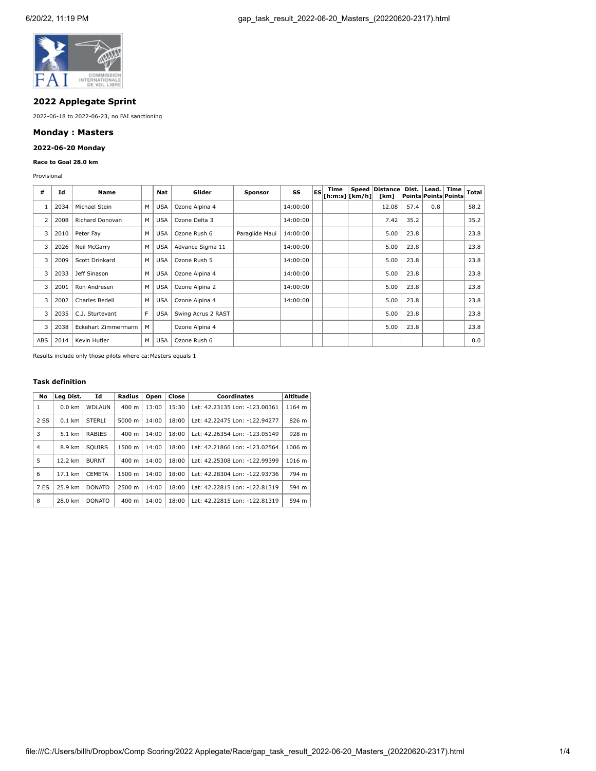

# **2022 Applegate Sprint**

2022-06-18 to 2022-06-23, no FAI sanctioning

## **Monday : Masters**

## **2022-06-20 Monday**

#### **Race to Goal 28.0 km**

Provisional

| #              | Ιd   | Name                   |   | Nat        | Glider             | Sponsor        | SS       | <b>IES</b> | Time<br>$ $ [h:m:s] $ $ [km/h] $ $ | Speed | <b>Distance</b><br>[km] | Dist.<br>Points Points Points | Lead. | Time | Total |
|----------------|------|------------------------|---|------------|--------------------|----------------|----------|------------|------------------------------------|-------|-------------------------|-------------------------------|-------|------|-------|
|                | 2034 | Michael Stein          | M | <b>USA</b> | Ozone Alpina 4     |                | 14:00:00 |            |                                    |       | 12.08                   | 57.4                          | 0.8   |      | 58.2  |
| $\overline{2}$ | 2008 | <b>Richard Donovan</b> | м | <b>USA</b> | Ozone Delta 3      |                | 14:00:00 |            |                                    |       | 7.42                    | 35.2                          |       |      | 35.2  |
| 3              | 2010 | Peter Fay              | M | <b>USA</b> | Ozone Rush 6       | Paraglide Maui | 14:00:00 |            |                                    |       | 5.00                    | 23.8                          |       |      | 23.8  |
| 3              | 2026 | Neil McGarry           | M | <b>USA</b> | Advance Sigma 11   |                | 14:00:00 |            |                                    |       | 5.00                    | 23.8                          |       |      | 23.8  |
| 3              | 2009 | Scott Drinkard         | M | <b>USA</b> | Ozone Rush 5       |                | 14:00:00 |            |                                    |       | 5.00                    | 23.8                          |       |      | 23.8  |
| 3              | 2033 | Jeff Sinason           | M | <b>USA</b> | Ozone Alpina 4     |                | 14:00:00 |            |                                    |       | 5.00                    | 23.8                          |       |      | 23.8  |
| 3              | 2001 | Ron Andresen           | M | <b>USA</b> | Ozone Alpina 2     |                | 14:00:00 |            |                                    |       | 5.00                    | 23.8                          |       |      | 23.8  |
| 3              | 2002 | Charles Bedell         | M | <b>USA</b> | Ozone Alpina 4     |                | 14:00:00 |            |                                    |       | 5.00                    | 23.8                          |       |      | 23.8  |
| 3              | 2035 | C.J. Sturtevant        | F | <b>USA</b> | Swing Acrus 2 RAST |                |          |            |                                    |       | 5.00                    | 23.8                          |       |      | 23.8  |
| 3              | 2038 | Eckehart Zimmermann    | M |            | Ozone Alpina 4     |                |          |            |                                    |       | 5.00                    | 23.8                          |       |      | 23.8  |
| ABS            | 2014 | Kevin Hutler           | M | <b>USA</b> | Ozone Rush 6       |                |          |            |                                    |       |                         |                               |       |      | 0.0   |

Results include only those pilots where ca:Masters equals 1

## **Task definition**

| No             | Lea Dist.         | Id            | Radius          | Open  | Close | Coordinates                   | <b>Altitude</b> |
|----------------|-------------------|---------------|-----------------|-------|-------|-------------------------------|-----------------|
| 1              | $0.0$ km          | <b>WDLAUN</b> | $400 \text{ m}$ | 13:00 | 15:30 | Lat: 42.23135 Lon: -123.00361 | 1164 m          |
| 2 SS           | $0.1$ km          | <b>STERLI</b> | $5000 \; m$     | 14:00 | 18:00 | Lat: 42.22475 Lon: -122.94277 | 826 m           |
| 3              | 5.1 km            | <b>RABIES</b> | 400 m           | 14:00 | 18:00 | Lat: 42.26354 Lon: -123.05149 | 928 m           |
| $\overline{4}$ | 8.9 km            | <b>SOUIRS</b> | 1500 m          | 14:00 | 18:00 | Lat: 42.21866 Lon: -123.02564 | 1006 m          |
| 5              | 12.2 km           | <b>BURNT</b>  | $400 \text{ m}$ | 14:00 | 18:00 | Lat: 42.25308 Lon: -122.99399 | 1016 m          |
| 6              | $17.1 \text{ km}$ | <b>CEMETA</b> | 1500 m          | 14:00 | 18:00 | Lat: 42.28304 Lon: -122.93736 | 794 m           |
| 7 ES           | 25.9 km           | <b>DONATO</b> | 2500 m          | 14:00 | 18:00 | Lat: 42.22815 Lon: -122.81319 | 594 m           |
| 8              | 28.0 km           | <b>DONATO</b> | $400 \text{ m}$ | 14:00 | 18:00 | Lat: 42.22815 Lon: -122.81319 | 594 m           |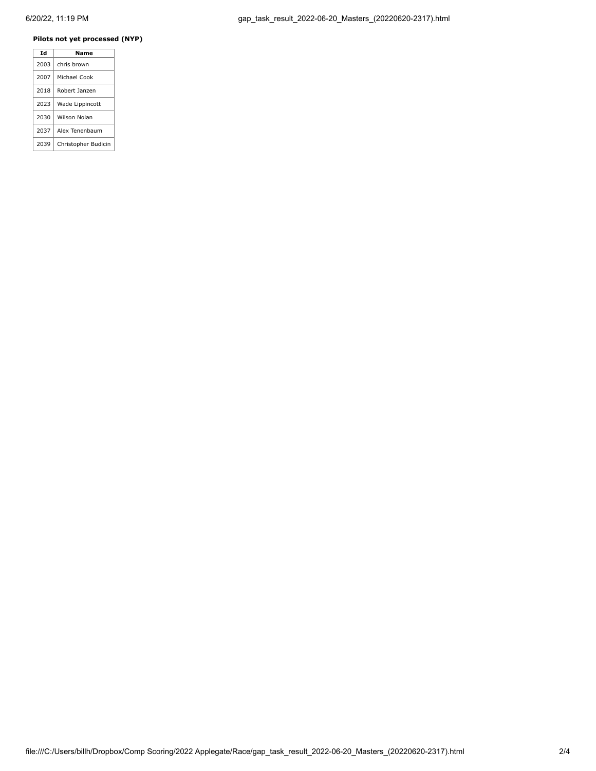### **Pilots not yet processed (NYP)**

| Td   | Name                |
|------|---------------------|
| 2003 | chris brown         |
| 2007 | Michael Cook        |
| 2018 | Robert Janzen       |
| 2023 | Wade Lippincott     |
| 2030 | Wilson Nolan        |
| 2037 | Alex Tenenbaum      |
| 2039 | Christopher Budicin |
|      |                     |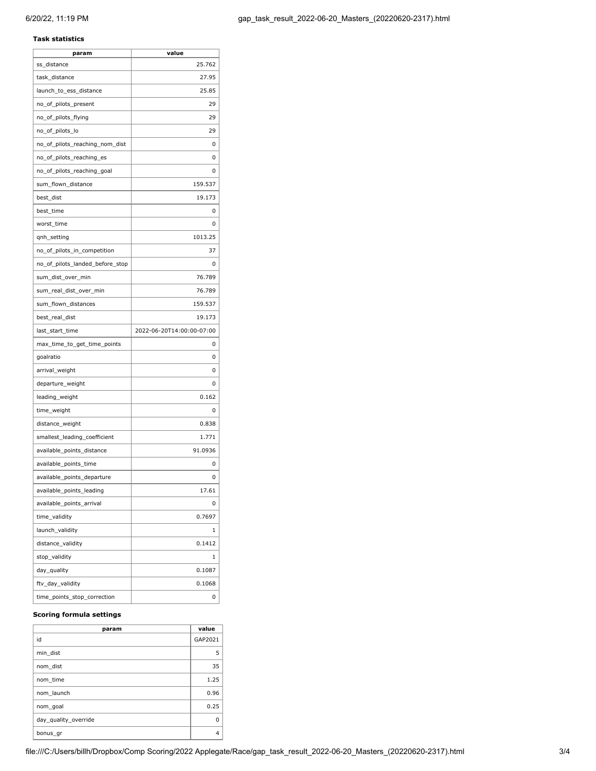### **Task statistics**

| param                           | value                     |
|---------------------------------|---------------------------|
| ss distance                     | 25.762                    |
| task_distance                   | 27.95                     |
| launch_to_ess_distance          | 25.85                     |
| no_of_pilots_present            | 29                        |
| no_of_pilots_flying             | 29                        |
| no_of_pilots_lo                 | 29                        |
| no_of_pilots_reaching_nom_dist  | 0                         |
| no_of_pilots_reaching_es        | 0                         |
| no_of_pilots_reaching_goal      | 0                         |
| sum_flown_distance              | 159.537                   |
| best_dist                       | 19.173                    |
| best_time                       | 0                         |
| worst_time                      | 0                         |
| qnh_setting                     | 1013.25                   |
| no_of_pilots_in_competition     | 37                        |
| no_of_pilots_landed_before_stop | 0                         |
| sum_dist_over_min               | 76.789                    |
| sum_real_dist_over_min          | 76.789                    |
| sum_flown_distances             | 159.537                   |
| best_real_dist                  | 19.173                    |
| last_start_time                 | 2022-06-20T14:00:00-07:00 |
| max_time_to_get_time_points     | 0                         |
| goalratio                       | 0                         |
| arrival_weight                  | 0                         |
| departure_weight                | 0                         |
| leading_weight                  | 0.162                     |
| time_weight                     | 0                         |
| distance_weight                 | 0.838                     |
| smallest_leading_coefficient    | 1.771                     |
| available_points_distance       | 91.0936                   |
| available_points_time           | 0                         |
| available_points_departure      | 0                         |
| available_points_leading        | 17.61                     |
| available_points_arrival        | 0                         |
| time_validity                   | 0.7697                    |
| launch_validity                 | 1                         |
| distance_validity               | 0.1412                    |
| stop_validity                   | 1                         |
| day_quality                     | 0.1087                    |
| ftv_day_validity                | 0.1068                    |
| time_points_stop_correction     | 0                         |

### **Scoring formula settings**

| param                | value   |
|----------------------|---------|
| id                   | GAP2021 |
| min dist             | 5       |
| nom dist             | 35      |
| nom time             | 1.25    |
| nom launch           | 0.96    |
| nom goal             | 0.25    |
| day quality override | O       |
| bonus_gr             | 4       |